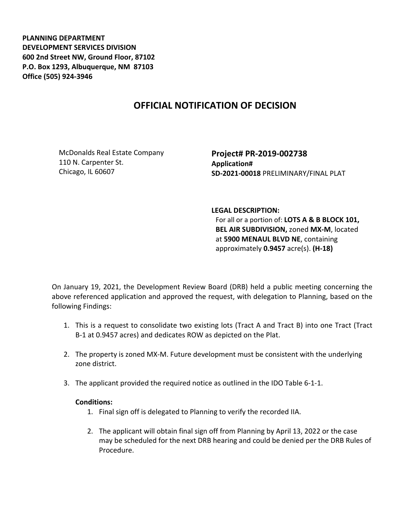**PLANNING DEPARTMENT DEVELOPMENT SERVICES DIVISION 600 2nd Street NW, Ground Floor, 87102 P.O. Box 1293, Albuquerque, NM 87103 Office (505) 924-3946** 

## **OFFICIAL NOTIFICATION OF DECISION**

McDonalds Real Estate Company 110 N. Carpenter St. Chicago, IL 60607

**Project# PR-2019-002738 Application# SD-2021-00018** PRELIMINARY/FINAL PLAT

## **LEGAL DESCRIPTION:**

For all or a portion of: **LOTS A & B BLOCK 101, BEL AIR SUBDIVISION,** zoned **MX-M**, located at **5900 MENAUL BLVD NE**, containing approximately **0.9457** acre(s). **(H-18)**

On January 19, 2021, the Development Review Board (DRB) held a public meeting concerning the above referenced application and approved the request, with delegation to Planning, based on the following Findings:

- 1. This is a request to consolidate two existing lots (Tract A and Tract B) into one Tract (Tract B-1 at 0.9457 acres) and dedicates ROW as depicted on the Plat.
- 2. The property is zoned MX-M. Future development must be consistent with the underlying zone district.
- 3. The applicant provided the required notice as outlined in the IDO Table 6-1-1.

## **Conditions:**

- 1. Final sign off is delegated to Planning to verify the recorded IIA.
- 2. The applicant will obtain final sign off from Planning by April 13, 2022 or the case may be scheduled for the next DRB hearing and could be denied per the DRB Rules of Procedure.